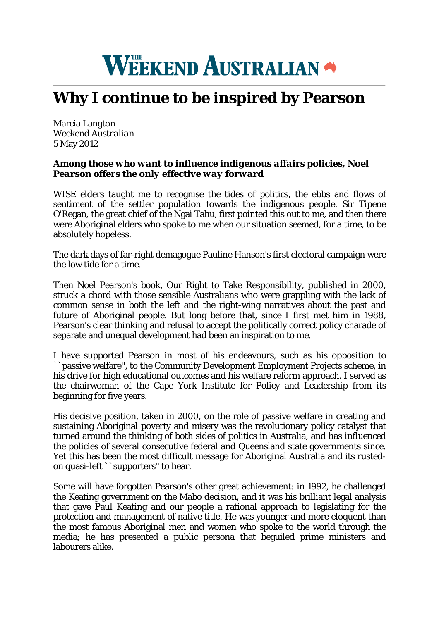

## **Why I continue to be inspired by Pearson**

Marcia Langton *Weekend Australian* 5 May 2012

## *Among those who want to influence indigenous affairs policies, Noel Pearson offers the only effective way forward*

WISE elders taught me to recognise the tides of politics, the ebbs and flows of sentiment of the settler population towards the indigenous people. Sir Tipene O'Regan, the great chief of the Ngai Tahu, first pointed this out to me, and then there were Aboriginal elders who spoke to me when our situation seemed, for a time, to be absolutely hopeless.

The dark days of far-right demagogue Pauline Hanson's first electoral campaign were the low tide for a time.

Then Noel Pearson's book, Our Right to Take Responsibility, published in 2000, struck a chord with those sensible Australians who were grappling with the lack of common sense in both the left and the right-wing narratives about the past and future of Aboriginal people. But long before that, since I first met him in 1988, Pearson's clear thinking and refusal to accept the politically correct policy charade of separate and unequal development had been an inspiration to me.

I have supported Pearson in most of his endeavours, such as his opposition to ``passive welfare'', to the Community Development Employment Projects scheme, in his drive for high educational outcomes and his welfare reform approach. I served as the chairwoman of the Cape York Institute for Policy and Leadership from its beginning for five years.

His decisive position, taken in 2000, on the role of passive welfare in creating and sustaining Aboriginal poverty and misery was the revolutionary policy catalyst that turned around the thinking of both sides of politics in Australia, and has influenced the policies of several consecutive federal and Queensland state governments since. Yet this has been the most difficult message for Aboriginal Australia and its rustedon quasi-left ``supporters'' to hear.

Some will have forgotten Pearson's other great achievement: in 1992, he challenged the Keating government on the Mabo decision, and it was his brilliant legal analysis that gave Paul Keating and our people a rational approach to legislating for the protection and management of native title. He was younger and more eloquent than the most famous Aboriginal men and women who spoke to the world through the media; he has presented a public persona that beguiled prime ministers and labourers alike.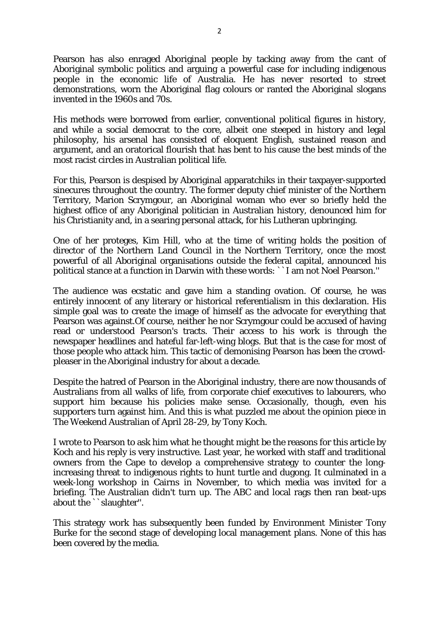Pearson has also enraged Aboriginal people by tacking away from the cant of Aboriginal symbolic politics and arguing a powerful case for including indigenous people in the economic life of Australia. He has never resorted to street demonstrations, worn the Aboriginal flag colours or ranted the Aboriginal slogans invented in the 1960s and 70s.

His methods were borrowed from earlier, conventional political figures in history, and while a social democrat to the core, albeit one steeped in history and legal philosophy, his arsenal has consisted of eloquent English, sustained reason and argument, and an oratorical flourish that has bent to his cause the best minds of the most racist circles in Australian political life.

For this, Pearson is despised by Aboriginal apparatchiks in their taxpayer-supported sinecures throughout the country. The former deputy chief minister of the Northern Territory, Marion Scrymgour, an Aboriginal woman who ever so briefly held the highest office of any Aboriginal politician in Australian history, denounced him for his Christianity and, in a searing personal attack, for his Lutheran upbringing.

One of her proteges, Kim Hill, who at the time of writing holds the position of director of the Northern Land Council in the Northern Territory, once the most powerful of all Aboriginal organisations outside the federal capital, announced his political stance at a function in Darwin with these words: ``I am not Noel Pearson.''

The audience was ecstatic and gave him a standing ovation. Of course, he was entirely innocent of any literary or historical referentialism in this declaration. His simple goal was to create the image of himself as the advocate for everything that Pearson was against.Of course, neither he nor Scrymgour could be accused of having read or understood Pearson's tracts. Their access to his work is through the newspaper headlines and hateful far-left-wing blogs. But that is the case for most of those people who attack him. This tactic of demonising Pearson has been the crowdpleaser in the Aboriginal industry for about a decade.

Despite the hatred of Pearson in the Aboriginal industry, there are now thousands of Australians from all walks of life, from corporate chief executives to labourers, who support him because his policies make sense. Occasionally, though, even his supporters turn against him. And this is what puzzled me about the opinion piece in The Weekend Australian of April 28-29, by Tony Koch.

I wrote to Pearson to ask him what he thought might be the reasons for this article by Koch and his reply is very instructive. Last year, he worked with staff and traditional owners from the Cape to develop a comprehensive strategy to counter the longincreasing threat to indigenous rights to hunt turtle and dugong. It culminated in a week-long workshop in Cairns in November, to which media was invited for a briefing. The Australian didn't turn up. The ABC and local rags then ran beat-ups about the ``slaughter''.

This strategy work has subsequently been funded by Environment Minister Tony Burke for the second stage of developing local management plans. None of this has been covered by the media.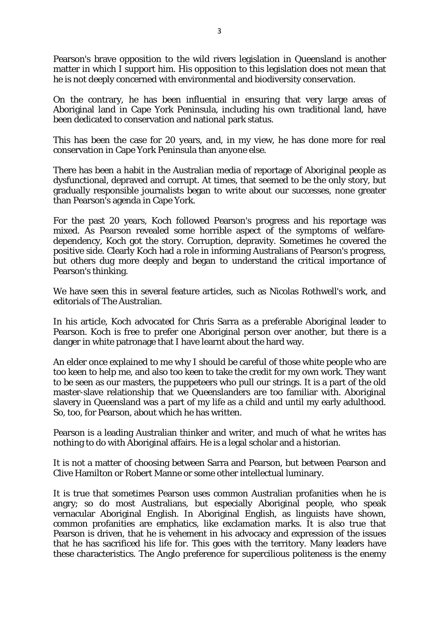Pearson's brave opposition to the wild rivers legislation in Queensland is another matter in which I support him. His opposition to this legislation does not mean that he is not deeply concerned with environmental and biodiversity conservation.

On the contrary, he has been influential in ensuring that very large areas of Aboriginal land in Cape York Peninsula, including his own traditional land, have been dedicated to conservation and national park status.

This has been the case for 20 years, and, in my view, he has done more for real conservation in Cape York Peninsula than anyone else.

There has been a habit in the Australian media of reportage of Aboriginal people as dysfunctional, depraved and corrupt. At times, that seemed to be the only story, but gradually responsible journalists began to write about our successes, none greater than Pearson's agenda in Cape York.

For the past 20 years, Koch followed Pearson's progress and his reportage was mixed. As Pearson revealed some horrible aspect of the symptoms of welfaredependency, Koch got the story. Corruption, depravity. Sometimes he covered the positive side. Clearly Koch had a role in informing Australians of Pearson's progress, but others dug more deeply and began to understand the critical importance of Pearson's thinking.

We have seen this in several feature articles, such as Nicolas Rothwell's work, and editorials of The Australian.

In his article, Koch advocated for Chris Sarra as a preferable Aboriginal leader to Pearson. Koch is free to prefer one Aboriginal person over another, but there is a danger in white patronage that I have learnt about the hard way.

An elder once explained to me why I should be careful of those white people who are too keen to help me, and also too keen to take the credit for my own work. They want to be seen as our masters, the puppeteers who pull our strings. It is a part of the old master-slave relationship that we Queenslanders are too familiar with. Aboriginal slavery in Queensland was a part of my life as a child and until my early adulthood. So, too, for Pearson, about which he has written.

Pearson is a leading Australian thinker and writer, and much of what he writes has nothing to do with Aboriginal affairs. He is a legal scholar and a historian.

It is not a matter of choosing between Sarra and Pearson, but between Pearson and Clive Hamilton or Robert Manne or some other intellectual luminary.

It is true that sometimes Pearson uses common Australian profanities when he is angry; so do most Australians, but especially Aboriginal people, who speak vernacular Aboriginal English. In Aboriginal English, as linguists have shown, common profanities are emphatics, like exclamation marks. It is also true that Pearson is driven, that he is vehement in his advocacy and expression of the issues that he has sacrificed his life for. This goes with the territory. Many leaders have these characteristics. The Anglo preference for supercilious politeness is the enemy